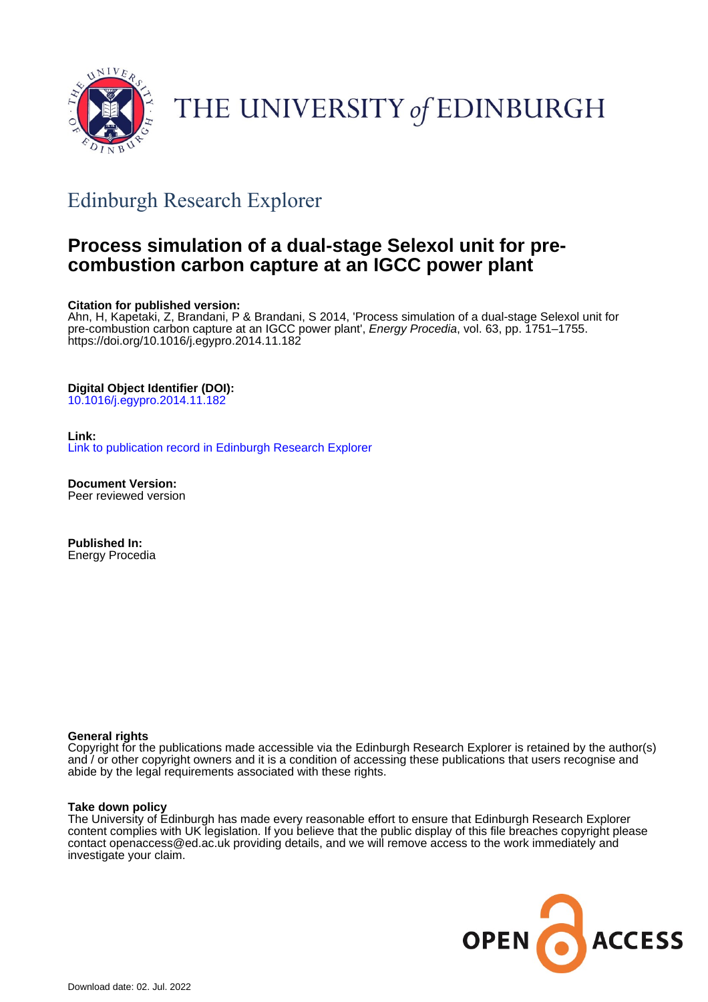

# THE UNIVERSITY of EDINBURGH

# Edinburgh Research Explorer

# **Process simulation of a dual-stage Selexol unit for precombustion carbon capture at an IGCC power plant**

### **Citation for published version:**

Ahn, H, Kapetaki, Z, Brandani, P & Brandani, S 2014, 'Process simulation of a dual-stage Selexol unit for pre-combustion carbon capture at an IGCC power plant', Energy Procedia, vol. 63, pp. 1751–1755. <https://doi.org/10.1016/j.egypro.2014.11.182>

## **Digital Object Identifier (DOI):**

[10.1016/j.egypro.2014.11.182](https://doi.org/10.1016/j.egypro.2014.11.182)

# **Link:**

[Link to publication record in Edinburgh Research Explorer](https://www.research.ed.ac.uk/en/publications/30050929-b8e6-400c-a9b0-531e08269060)

**Document Version:** Peer reviewed version

**Published In:** Energy Procedia

### **General rights**

Copyright for the publications made accessible via the Edinburgh Research Explorer is retained by the author(s) and / or other copyright owners and it is a condition of accessing these publications that users recognise and abide by the legal requirements associated with these rights.

### **Take down policy**

The University of Edinburgh has made every reasonable effort to ensure that Edinburgh Research Explorer content complies with UK legislation. If you believe that the public display of this file breaches copyright please contact openaccess@ed.ac.uk providing details, and we will remove access to the work immediately and investigate your claim.

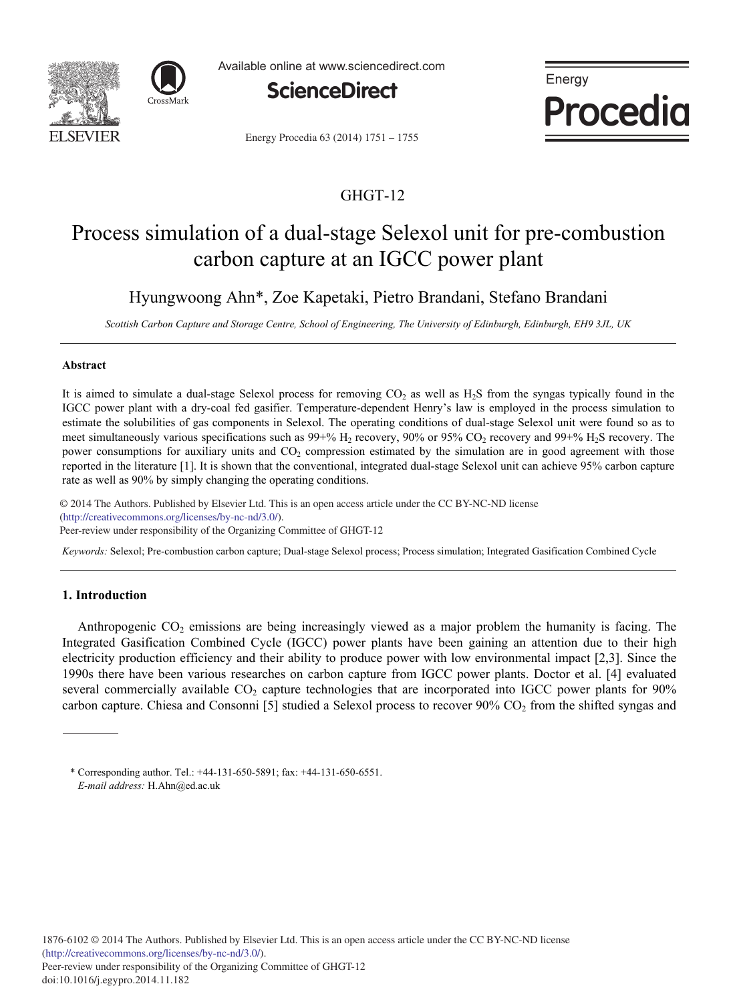



Available online at www.sciencedirect.com



Energy Procedia 63 (2014) 1751 - 1755

# GHGT-12

Energy

Procedia

# Process simulation of a dual-stage Selexol unit for pre-combustion carbon capture at an IGCC power plant

Hyungwoong Ahn\*, Zoe Kapetaki, Pietro Brandani, Stefano Brandani

*Scottish Carbon Capture and Storage Centre, School of Engineering, The University of Edinburgh, Edinburgh, EH9 3JL, UK* 

### **Abstract**

It is aimed to simulate a dual-stage Selexol process for removing  $CO<sub>2</sub>$  as well as H<sub>2</sub>S from the syngas typically found in the IGCC power plant with a dry-coal fed gasifier. Temperature-dependent Henry's law is employed in the process simulation to estimate the solubilities of gas components in Selexol. The operating conditions of dual-stage Selexol unit were found so as to meet simultaneously various specifications such as  $99+% H<sub>2</sub>$  recovery,  $90%$  or  $95% CO<sub>2</sub>$  recovery and  $99+% H<sub>2</sub>$  recovery. The power consumptions for auxiliary units and CO<sub>2</sub> compression estimated by the simulation are in good agreement with those reported in the literature [1]. It is shown that the conventional, integrated dual-stage Selexol unit can achieve 95% carbon capture rate as well as 90% by simply changing the operating conditions.

© 2013 The Authors. Published by Elsevier Ltd. © 2014 The Authors. Published by Elsevier Ltd. This is an open access article under the CC BY-NC-ND license (imp.//creativecommons.org/neenses/oy-ne-na/5.0/).<br>Peer-review under responsibility of the Organizing Committee of GHGT-12 (http://creativecommons.org/licenses/by-nc-nd/3.0/).

*Keywords:* Selexol; Pre-combustion carbon capture; Dual-stage Selexol process; Process simulation; Integrated Gasification Combined Cycle

### **1. Introduction**

Anthropogenic  $CO<sub>2</sub>$  emissions are being increasingly viewed as a major problem the humanity is facing. The Integrated Gasification Combined Cycle (IGCC) power plants have been gaining an attention due to their high electricity production efficiency and their ability to produce power with low environmental impact [2,3]. Since the 1990s there have been various researches on carbon capture from IGCC power plants. Doctor et al. [4] evaluated several commercially available CO<sub>2</sub> capture technologies that are incorporated into IGCC power plants for 90% carbon capture. Chiesa and Consonni [5] studied a Selexol process to recover 90%  $CO<sub>2</sub>$  from the shifted syngas and

<sup>\*</sup> Corresponding author. Tel.: +44-131-650-5891; fax: +44-131-650-6551. *E-mail address:* H.Ahn@ed.ac.uk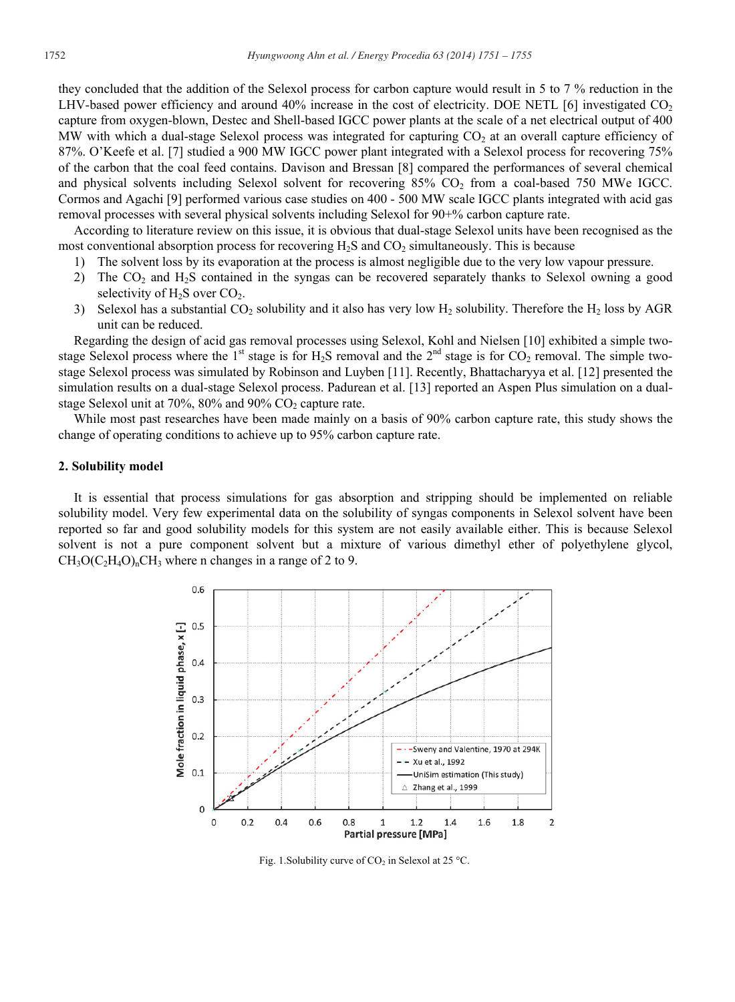they concluded that the addition of the Selexol process for carbon capture would result in 5 to 7 % reduction in the LHV-based power efficiency and around 40% increase in the cost of electricity. DOE NETL [6] investigated  $CO<sub>2</sub>$ capture from oxygen-blown, Destec and Shell-based IGCC power plants at the scale of a net electrical output of 400 MW with which a dual-stage Selexol process was integrated for capturing  $CO<sub>2</sub>$  at an overall capture efficiency of 87%. O'Keefe et al. [7] studied a 900 MW IGCC power plant integrated with a Selexol process for recovering 75% of the carbon that the coal feed contains. Davison and Bressan [8] compared the performances of several chemical and physical solvents including Selexol solvent for recovering 85% CO<sub>2</sub> from a coal-based 750 MWe IGCC. Cormos and Agachi [9] performed various case studies on 400 - 500 MW scale IGCC plants integrated with acid gas removal processes with several physical solvents including Selexol for 90+% carbon capture rate.

According to literature review on this issue, it is obvious that dual-stage Selexol units have been recognised as the most conventional absorption process for recovering  $H_2S$  and  $CO_2$  simultaneously. This is because

- 1) The solvent loss by its evaporation at the process is almost negligible due to the very low vapour pressure.
- 2) The CO<sub>2</sub> and H<sub>2</sub>S contained in the syngas can be recovered separately thanks to Selexol owning a good selectivity of  $H_2S$  over  $CO_2$ .
- 3) Selexol has a substantial  $CO_2$  solubility and it also has very low  $H_2$  solubility. Therefore the  $H_2$  loss by AGR unit can be reduced.

Regarding the design of acid gas removal processes using Selexol, Kohl and Nielsen [10] exhibited a simple twostage Selexol process where the 1<sup>st</sup> stage is for H<sub>2</sub>S removal and the  $2<sup>nd</sup>$  stage is for CO<sub>2</sub> removal. The simple twostage Selexol process was simulated by Robinson and Luyben [11]. Recently, Bhattacharyya et al. [12] presented the simulation results on a dual-stage Selexol process. Padurean et al. [13] reported an Aspen Plus simulation on a dualstage Selexol unit at  $70\%$ ,  $80\%$  and  $90\%$  CO<sub>2</sub> capture rate.

While most past researches have been made mainly on a basis of 90% carbon capture rate, this study shows the change of operating conditions to achieve up to 95% carbon capture rate.

### **2. Solubility model**

It is essential that process simulations for gas absorption and stripping should be implemented on reliable solubility model. Very few experimental data on the solubility of syngas components in Selexol solvent have been reported so far and good solubility models for this system are not easily available either. This is because Selexol solvent is not a pure component solvent but a mixture of various dimethyl ether of polyethylene glycol,  $CH_3O(C_2H_4O)$ <sub>n</sub>CH<sub>3</sub> where n changes in a range of 2 to 9.



Fig. 1. Solubility curve of  $CO<sub>2</sub>$  in Selexol at 25 °C.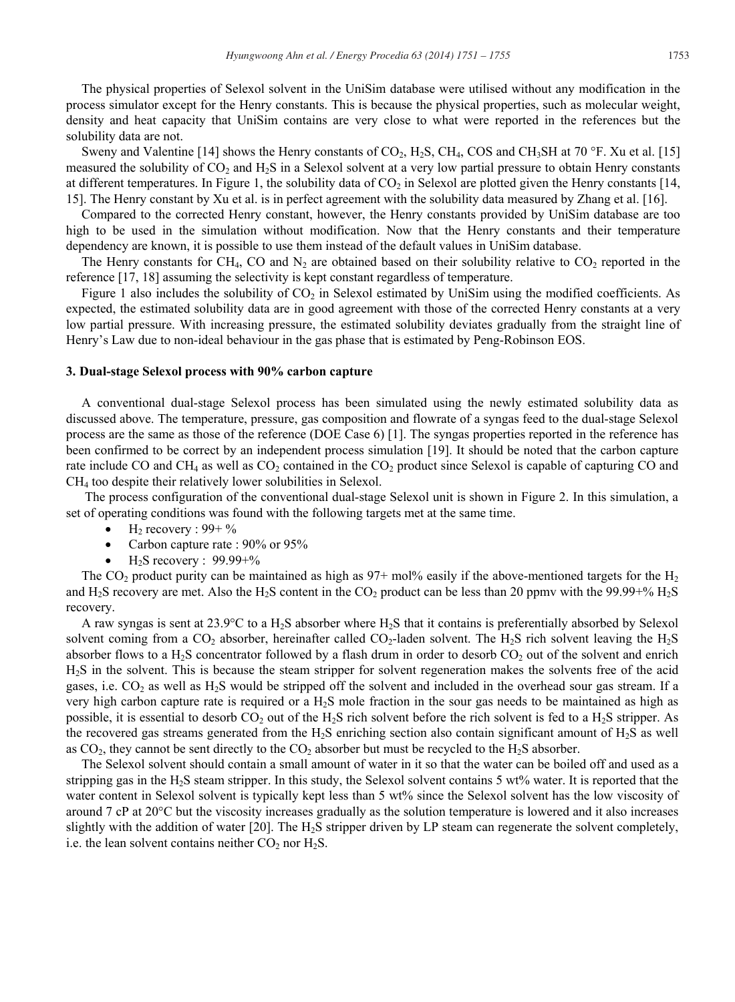The physical properties of Selexol solvent in the UniSim database were utilised without any modification in the process simulator except for the Henry constants. This is because the physical properties, such as molecular weight, density and heat capacity that UniSim contains are very close to what were reported in the references but the solubility data are not.

Sweny and Valentine [14] shows the Henry constants of  $CO_2$ , H<sub>2</sub>S, CH<sub>4</sub>, COS and CH<sub>3</sub>SH at 70 °F. Xu et al. [15] measured the solubility of  $CO<sub>2</sub>$  and  $H<sub>2</sub>S$  in a Selexol solvent at a very low partial pressure to obtain Henry constants at different temperatures. In Figure 1, the solubility data of  $CO<sub>2</sub>$  in Selexol are plotted given the Henry constants [14, 15]. The Henry constant by Xu et al. is in perfect agreement with the solubility data measured by Zhang et al. [16].

Compared to the corrected Henry constant, however, the Henry constants provided by UniSim database are too high to be used in the simulation without modification. Now that the Henry constants and their temperature dependency are known, it is possible to use them instead of the default values in UniSim database.

The Henry constants for CH<sub>4</sub>, CO and  $N_2$  are obtained based on their solubility relative to CO<sub>2</sub> reported in the reference [17, 18] assuming the selectivity is kept constant regardless of temperature.

Figure 1 also includes the solubility of  $CO<sub>2</sub>$  in Selexol estimated by UniSim using the modified coefficients. As expected, the estimated solubility data are in good agreement with those of the corrected Henry constants at a very low partial pressure. With increasing pressure, the estimated solubility deviates gradually from the straight line of Henry's Law due to non-ideal behaviour in the gas phase that is estimated by Peng-Robinson EOS.

#### **3. Dual-stage Selexol process with 90% carbon capture**

A conventional dual-stage Selexol process has been simulated using the newly estimated solubility data as discussed above. The temperature, pressure, gas composition and flowrate of a syngas feed to the dual-stage Selexol process are the same as those of the reference (DOE Case 6) [1]. The syngas properties reported in the reference has been confirmed to be correct by an independent process simulation [19]. It should be noted that the carbon capture rate include CO and CH<sub>4</sub> as well as  $CO<sub>2</sub>$  contained in the  $CO<sub>2</sub>$  product since Selexol is capable of capturing CO and CH4 too despite their relatively lower solubilities in Selexol.

 The process configuration of the conventional dual-stage Selexol unit is shown in Figure 2. In this simulation, a set of operating conditions was found with the following targets met at the same time.

- $H<sub>2</sub>$  recovery : 99+ %
- Carbon capture rate :  $90\%$  or  $95\%$
- $H<sub>2</sub>S$  recovery : 99.99+%

The CO<sub>2</sub> product purity can be maintained as high as  $97+$  mol% easily if the above-mentioned targets for the H<sub>2</sub> and H<sub>2</sub>S recovery are met. Also the H<sub>2</sub>S content in the CO<sub>2</sub> product can be less than 20 ppmv with the 99.99+% H<sub>2</sub>S recovery.

A raw syngas is sent at 23.9 $\degree$ C to a H<sub>2</sub>S absorber where H<sub>2</sub>S that it contains is preferentially absorbed by Selexol solvent coming from a  $CO_2$  absorber, hereinafter called  $CO_2$ -laden solvent. The H<sub>2</sub>S rich solvent leaving the H<sub>2</sub>S absorber flows to a  $H_2S$  concentrator followed by a flash drum in order to desorb  $CO_2$  out of the solvent and enrich H2S in the solvent. This is because the steam stripper for solvent regeneration makes the solvents free of the acid gases, i.e.  $CO_2$  as well as H<sub>2</sub>S would be stripped off the solvent and included in the overhead sour gas stream. If a very high carbon capture rate is required or a H2S mole fraction in the sour gas needs to be maintained as high as possible, it is essential to desorb  $CO_2$  out of the H<sub>2</sub>S rich solvent before the rich solvent is fed to a H<sub>2</sub>S stripper. As the recovered gas streams generated from the  $H_2S$  enriching section also contain significant amount of  $H_2S$  as well as  $CO<sub>2</sub>$ , they cannot be sent directly to the  $CO<sub>2</sub>$  absorber but must be recycled to the H<sub>2</sub>S absorber.

The Selexol solvent should contain a small amount of water in it so that the water can be boiled off and used as a stripping gas in the H2S steam stripper. In this study, the Selexol solvent contains 5 wt% water. It is reported that the water content in Selexol solvent is typically kept less than 5 wt% since the Selexol solvent has the low viscosity of around 7 cP at  $20^{\circ}$ C but the viscosity increases gradually as the solution temperature is lowered and it also increases slightly with the addition of water [20]. The H2S stripper driven by LP steam can regenerate the solvent completely, i.e. the lean solvent contains neither  $CO<sub>2</sub>$  nor  $H<sub>2</sub>S$ .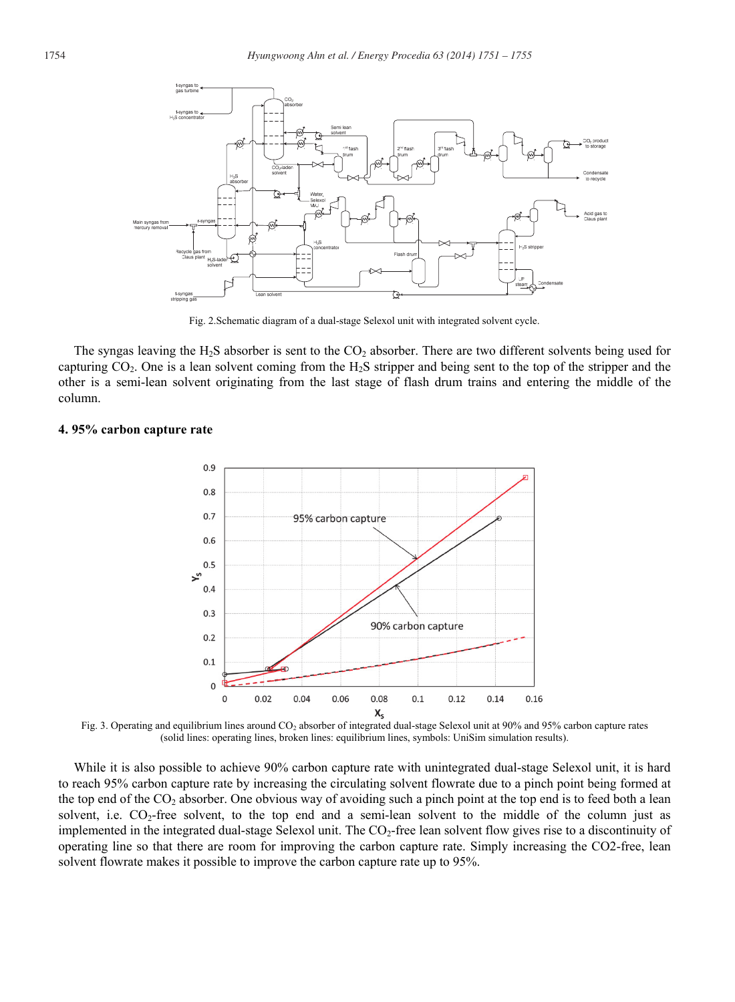

Fig. 2.Schematic diagram of a dual-stage Selexol unit with integrated solvent cycle.

The syngas leaving the  $H_2S$  absorber is sent to the  $CO_2$  absorber. There are two different solvents being used for capturing  $CO<sub>2</sub>$ . One is a lean solvent coming from the H<sub>2</sub>S stripper and being sent to the top of the stripper and the other is a semi-lean solvent originating from the last stage of flash drum trains and entering the middle of the column.

### **4. 95% carbon capture rate**



Fig. 3. Operating and equilibrium lines around CO2 absorber of integrated dual-stage Selexol unit at 90% and 95% carbon capture rates (solid lines: operating lines, broken lines: equilibrium lines, symbols: UniSim simulation results).

While it is also possible to achieve 90% carbon capture rate with unintegrated dual-stage Selexol unit, it is hard to reach 95% carbon capture rate by increasing the circulating solvent flowrate due to a pinch point being formed at the top end of the  $CO<sub>2</sub>$  absorber. One obvious way of avoiding such a pinch point at the top end is to feed both a lean solvent, i.e.  $CO_2$ -free solvent, to the top end and a semi-lean solvent to the middle of the column just as implemented in the integrated dual-stage Selexol unit. The  $CO<sub>2</sub>$ -free lean solvent flow gives rise to a discontinuity of operating line so that there are room for improving the carbon capture rate. Simply increasing the CO2-free, lean solvent flowrate makes it possible to improve the carbon capture rate up to 95%.